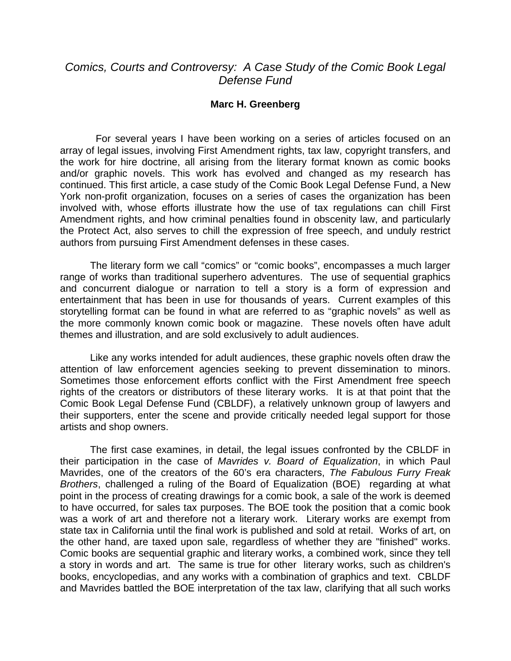## *Comics, Courts and Controversy: A Case Study of the Comic Book Legal Defense Fund*

## **Marc H. Greenberg**

 For several years I have been working on a series of articles focused on an array of legal issues, involving First Amendment rights, tax law, copyright transfers, and the work for hire doctrine, all arising from the literary format known as comic books and/or graphic novels. This work has evolved and changed as my research has continued. This first article, a case study of the Comic Book Legal Defense Fund, a New York non-profit organization, focuses on a series of cases the organization has been involved with, whose efforts illustrate how the use of tax regulations can chill First Amendment rights, and how criminal penalties found in obscenity law, and particularly the Protect Act, also serves to chill the expression of free speech, and unduly restrict authors from pursuing First Amendment defenses in these cases.

The literary form we call "comics" or "comic books", encompasses a much larger range of works than traditional superhero adventures. The use of sequential graphics and concurrent dialogue or narration to tell a story is a form of expression and entertainment that has been in use for thousands of years. Current examples of this storytelling format can be found in what are referred to as "graphic novels" as well as the more commonly known comic book or magazine. These novels often have adult themes and illustration, and are sold exclusively to adult audiences.

Like any works intended for adult audiences, these graphic novels often draw the attention of law enforcement agencies seeking to prevent dissemination to minors. Sometimes those enforcement efforts conflict with the First Amendment free speech rights of the creators or distributors of these literary works. It is at that point that the Comic Book Legal Defense Fund (CBLDF), a relatively unknown group of lawyers and their supporters, enter the scene and provide critically needed legal support for those artists and shop owners.

The first case examines, in detail, the legal issues confronted by the CBLDF in their participation in the case of *Mavrides v. Board of Equalization*, in which Paul Mavrides, one of the creators of the 60's era characters, *The Fabulous Furry Freak Brothers*, challenged a ruling of the Board of Equalization (BOE) regarding at what point in the process of creating drawings for a comic book, a sale of the work is deemed to have occurred, for sales tax purposes. The BOE took the position that a comic book was a work of art and therefore not a literary work. Literary works are exempt from state tax in California until the final work is published and sold at retail. Works of art, on the other hand, are taxed upon sale, regardless of whether they are "finished" works. Comic books are sequential graphic and literary works, a combined work, since they tell a story in words and art. The same is true for other literary works, such as children's books, encyclopedias, and any works with a combination of graphics and text. CBLDF and Mavrides battled the BOE interpretation of the tax law, clarifying that all such works